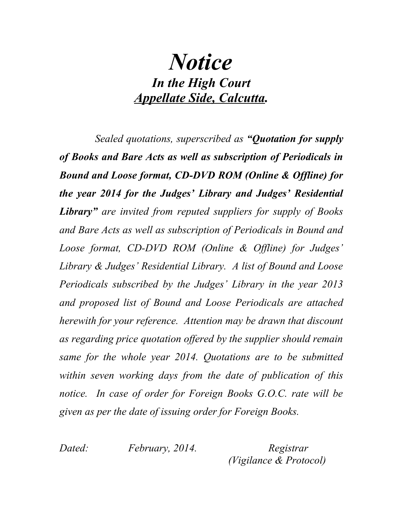## *Notice In the High Court Appellate Side, Calcutta.*

*Sealed quotations, superscribed as "Quotation for supply of Books and Bare Acts as well as subscription of Periodicals in Bound and Loose format, CD-DVD ROM (Online & Offline) for the year 2014 for the Judges' Library and Judges' Residential Library" are invited from reputed suppliers for supply of Books and Bare Acts as well as subscription of Periodicals in Bound and Loose format, CD-DVD ROM (Online & Offline) for Judges' Library & Judges' Residential Library. A list of Bound and Loose Periodicals subscribed by the Judges' Library in the year 2013 and proposed list of Bound and Loose Periodicals are attached herewith for your reference. Attention may be drawn that discount as regarding price quotation offered by the supplier should remain same for the whole year 2014. Quotations are to be submitted within seven working days from the date of publication of this notice. In case of order for Foreign Books G.O.C. rate will be given as per the date of issuing order for Foreign Books.*

*Dated: February, 2014. Registrar (Vigilance & Protocol)*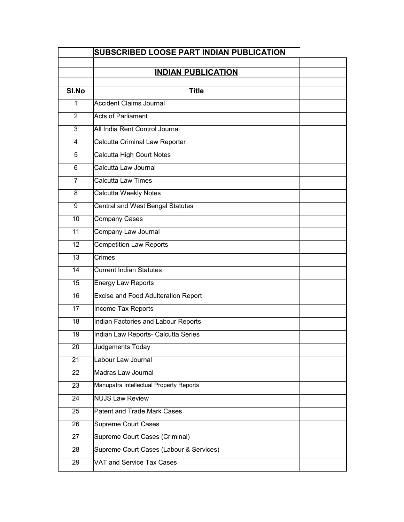|                | SUBSCRIBED LOOSE PART INDIAN PUBLICATION |  |
|----------------|------------------------------------------|--|
|                | <b>INDIAN PUBLICATION</b>                |  |
|                |                                          |  |
| SI.No          | <b>Title</b>                             |  |
| 1              | <b>Accident Claims Journal</b>           |  |
| 2              | <b>Acts of Parliament</b>                |  |
| 3              | All India Rent Control Journal           |  |
| 4              | Calcutta Criminal Law Reporter           |  |
| 5              | <b>Calcutta High Court Notes</b>         |  |
| 6              | Calcutta Law Journal                     |  |
| $\overline{7}$ | Calcutta Law Times                       |  |
| 8              | Calcutta Weekly Notes                    |  |
| 9              | <b>Central and West Bengal Statutes</b>  |  |
| 10             | <b>Company Cases</b>                     |  |
| 11             | Company Law Journal                      |  |
| 12             | <b>Competition Law Reports</b>           |  |
| 13             | Crimes                                   |  |
| 14             | <b>Current Indian Statutes</b>           |  |
| 15             | Energy Law Reports                       |  |
| 16             | Excise and Food Adulteration Report      |  |
| 17             | Income Tax Reports                       |  |
| 18             | Indian Factories and Labour Reports      |  |
| 19             | Indian Law Reports- Calcutta Series      |  |
| 20             | Judgements Today                         |  |
| 21             | Labour Law Journal                       |  |
| 22             | Madras Law Journal                       |  |
| 23             | Manupatra Intellectual Property Reports  |  |
| 24             | <b>NUJS Law Review</b>                   |  |
| 25             | Patent and Trade Mark Cases              |  |
| 26             | Supreme Court Cases                      |  |
| 27             | Supreme Court Cases (Criminal)           |  |
| 28             | Supreme Court Cases (Labour & Services)  |  |
| 29             | VAT and Service Tax Cases                |  |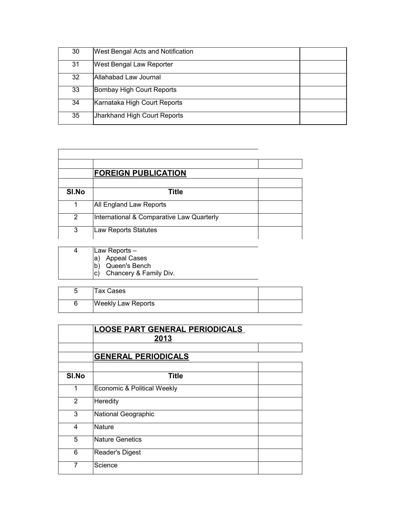| 30 | <b>West Bengal Acts and Notification</b> |  |
|----|------------------------------------------|--|
| 31 | <b>West Bengal Law Reporter</b>          |  |
| 32 | Allahabad Law Journal                    |  |
| 33 | Bombay High Court Reports                |  |
| 34 | Karnataka High Court Reports             |  |
| 35 | Jharkhand High Court Reports             |  |

|               | <b>FOREIGN PUBLICATION</b>                |  |
|---------------|-------------------------------------------|--|
|               |                                           |  |
| SI.No         | Title                                     |  |
|               | All England Law Reports                   |  |
| $\mathcal{P}$ | International & Comparative Law Quarterly |  |
| 3             | <b>Law Reports Statutes</b>               |  |

| Law Reports -             |
|---------------------------|
| a) Appeal Cases           |
| b) Queen's Bench          |
| c) Chancery & Family Div. |

| Tax Cases                 |  |
|---------------------------|--|
| <b>Weekly Law Reports</b> |  |

|       | <b>LOOSE PART GENERAL PERIODICALS</b><br>2013 |  |
|-------|-----------------------------------------------|--|
|       |                                               |  |
|       | <b>GENERAL PERIODICALS</b>                    |  |
|       |                                               |  |
| SI.No | <b>Title</b>                                  |  |
| 1     | Economic & Political Weekly                   |  |
| 2     | Heredity                                      |  |
| 3     | National Geographic                           |  |
| 4     | Nature                                        |  |
| 5     | Nature Genetics                               |  |
| 6     | Reader's Digest                               |  |
| 7     | Science                                       |  |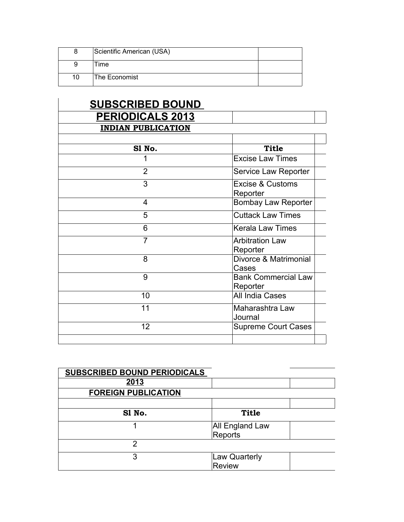|    | Scientific American (USA) |  |
|----|---------------------------|--|
|    | Time                      |  |
| 10 | The Economist             |  |

| <b>SUBSCRIBED BOUND</b>   |                             |  |
|---------------------------|-----------------------------|--|
| <b>PERIODICALS 2013</b>   |                             |  |
| <b>INDIAN PUBLICATION</b> |                             |  |
|                           |                             |  |
| S1 No.                    | <b>Title</b>                |  |
| 1                         | <b>Excise Law Times</b>     |  |
| $\overline{2}$            | Service Law Reporter        |  |
| 3                         | <b>Excise &amp; Customs</b> |  |
|                           | Reporter                    |  |
| 4                         | <b>Bombay Law Reporter</b>  |  |
| 5                         | <b>Cuttack Law Times</b>    |  |
| 6                         | <b>Kerala Law Times</b>     |  |
| $\overline{7}$            | <b>Arbitration Law</b>      |  |
|                           | Reporter                    |  |
| 8                         | Divorce & Matrimonial       |  |
|                           | Cases                       |  |
| 9                         | <b>Bank Commercial Law</b>  |  |
|                           | Reporter                    |  |
| 10                        | All India Cases             |  |
| 11                        | Maharashtra Law             |  |
|                           | Journal                     |  |
| 12                        | <b>Supreme Court Cases</b>  |  |
|                           |                             |  |

| <b>SUBSCRIBED BOUND PERIODICALS</b> |                                       |  |
|-------------------------------------|---------------------------------------|--|
| 2013                                |                                       |  |
| <b>FOREIGN PUBLICATION</b>          |                                       |  |
|                                     |                                       |  |
| S1 No.                              | <b>Title</b>                          |  |
|                                     | All England Law                       |  |
|                                     | Reports                               |  |
| 2                                   |                                       |  |
| 3                                   | <b>Law Quarterly</b><br><b>Review</b> |  |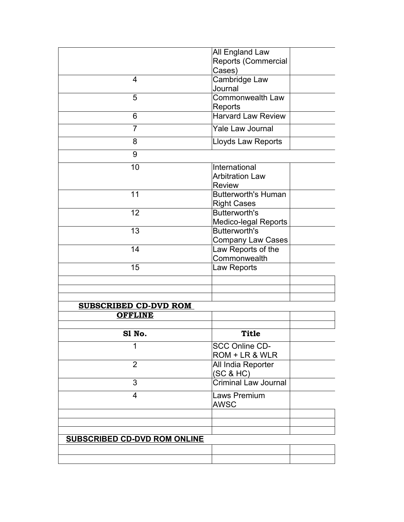|                                     | All England Law                                |  |
|-------------------------------------|------------------------------------------------|--|
|                                     | Reports (Commercial                            |  |
|                                     | Cases)                                         |  |
| 4                                   | Cambridge Law                                  |  |
|                                     | Journal                                        |  |
| 5                                   | Commonwealth Law                               |  |
|                                     | Reports                                        |  |
| 6                                   | <b>Harvard Law Review</b>                      |  |
| $\overline{7}$                      | Yale Law Journal                               |  |
| 8                                   | Lloyds Law Reports                             |  |
| 9                                   |                                                |  |
| 10                                  | International                                  |  |
|                                     | <b>Arbitration Law</b>                         |  |
|                                     | <b>Review</b>                                  |  |
| 11                                  | <b>Butterworth's Human</b>                     |  |
|                                     | <b>Right Cases</b>                             |  |
| 12                                  | <b>Butterworth's</b>                           |  |
|                                     | <b>Medico-legal Reports</b>                    |  |
| 13                                  | <b>Butterworth's</b>                           |  |
| 14                                  | <b>Company Law Cases</b><br>Law Reports of the |  |
|                                     | Commonwealth                                   |  |
| 15                                  | Law Reports                                    |  |
|                                     |                                                |  |
|                                     |                                                |  |
|                                     |                                                |  |
| <b>SUBSCRIBED CD-DVD ROM</b>        |                                                |  |
| <b>OFFLINE</b>                      |                                                |  |
|                                     |                                                |  |
| S1 No.                              | <b>Title</b>                                   |  |
| 1                                   | <b>SCC Online CD-</b>                          |  |
|                                     | ROM + LR & WLR                                 |  |
| $\overline{2}$                      | All India Reporter<br>(SC & HC)                |  |
| 3                                   | <b>Criminal Law Journal</b>                    |  |
|                                     |                                                |  |
| $\overline{4}$                      | Laws Premium<br><b>AWSC</b>                    |  |
|                                     |                                                |  |
|                                     |                                                |  |
|                                     |                                                |  |
| <b>SUBSCRIBED CD-DVD ROM ONLINE</b> |                                                |  |
|                                     |                                                |  |
|                                     |                                                |  |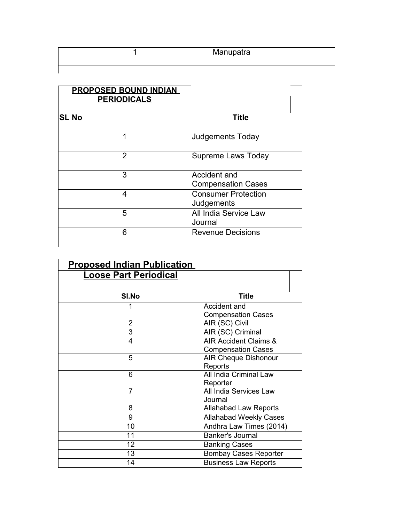| Manupatra |  |
|-----------|--|
|           |  |

| <b>PROPOSED BOUND INDIAN</b> |                                           |
|------------------------------|-------------------------------------------|
| <b>PERIODICALS</b>           |                                           |
|                              |                                           |
| <b>SL No</b>                 | <b>Title</b>                              |
| 1                            | <b>Judgements Today</b>                   |
| $\overline{2}$               | Supreme Laws Today                        |
| 3                            | Accident and<br><b>Compensation Cases</b> |
| 4                            | <b>Consumer Protection</b><br>Judgements  |
| 5                            | All India Service Law<br>Journal          |
| 6                            | <b>Revenue Decisions</b>                  |

| <b>Proposed Indian Publication</b> |                               |
|------------------------------------|-------------------------------|
| <b>Loose Part Periodical</b>       |                               |
|                                    |                               |
| SI.No                              | <b>Title</b>                  |
| 1                                  | Accident and                  |
|                                    | <b>Compensation Cases</b>     |
| $\overline{2}$                     | AIR (SC) Civil                |
| 3                                  | AIR (SC) Criminal             |
| 4                                  | AIR Accident Claims &         |
|                                    | <b>Compensation Cases</b>     |
| 5                                  | <b>AIR Cheque Dishonour</b>   |
|                                    | Reports                       |
| 6                                  | All India Criminal Law        |
|                                    | Reporter                      |
| $\overline{7}$                     | All India Services Law        |
|                                    | Journal                       |
| 8                                  | <b>Allahabad Law Reports</b>  |
| 9                                  | <b>Allahabad Weekly Cases</b> |
| 10                                 | Andhra Law Times (2014)       |
| 11                                 | <b>Banker's Journal</b>       |
| 12                                 | <b>Banking Cases</b>          |
| 13                                 | <b>Bombay Cases Reporter</b>  |
| 14                                 | <b>Business Law Reports</b>   |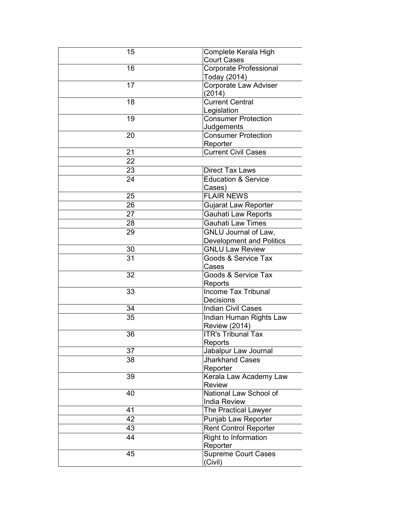| 15 | Complete Kerala High                            |
|----|-------------------------------------------------|
|    | <b>Court Cases</b>                              |
| 16 | <b>Corporate Professional</b>                   |
|    | Today (2014)                                    |
| 17 | Corporate Law Adviser                           |
|    | (2014)                                          |
| 18 | <b>Current Central</b>                          |
|    | Legislation                                     |
| 19 | <b>Consumer Protection</b>                      |
|    | Judgements                                      |
| 20 | <b>Consumer Protection</b>                      |
| 21 | Reporter<br><b>Current Civil Cases</b>          |
|    |                                                 |
| 22 |                                                 |
| 23 | <b>Direct Tax Laws</b>                          |
| 24 | <b>Education &amp; Service</b>                  |
|    | Cases)                                          |
| 25 | <b>FLAIR NEWS</b>                               |
| 26 | <b>Gujarat Law Reporter</b>                     |
| 27 | Gauhati Law Reports                             |
| 28 | <b>Gauhati Law Times</b>                        |
| 29 | GNLU Journal of Law,                            |
|    | <b>Development and Politics</b>                 |
| 30 | <b>GNLU Law Review</b>                          |
| 31 | Goods & Service Tax                             |
|    | Cases                                           |
| 32 | Goods & Service Tax                             |
|    | Reports                                         |
| 33 | <b>Income Tax Tribunal</b>                      |
| 34 | Decisions<br><b>Indian Civil Cases</b>          |
| 35 |                                                 |
|    | Indian Human Rights Law<br><b>Review (2014)</b> |
| 36 | <b>ITR's Tribunal Tax</b>                       |
|    | Reports                                         |
| 37 | Jabalpur Law Journal                            |
| 38 | Jharkhand Cases                                 |
|    | Reporter                                        |
| 39 | Kerala Law Academy Law                          |
|    | <b>Review</b>                                   |
| 40 | National Law School of                          |
|    | <b>India Review</b>                             |
| 41 | The Practical Lawyer                            |
| 42 | Punjab Law Reporter                             |
| 43 | <b>Rent Control Reporter</b>                    |
| 44 | Right to Information                            |
|    | Reporter                                        |
| 45 | <b>Supreme Court Cases</b>                      |
|    | (Civil)                                         |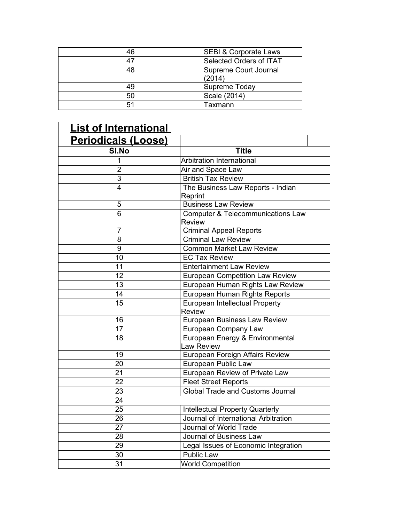| 46 | <b>SEBI &amp; Corporate Laws</b> |
|----|----------------------------------|
| 47 | Selected Orders of ITAT          |
| 48 | Supreme Court Journal            |
|    | (2014)                           |
| 49 | Supreme Today                    |
| 50 | Scale (2014)                     |
| 51 | Taxmann                          |

 $\frac{1}{2}$  and  $\frac{1}{2}$ 

| <b>List of International</b> |                                               |
|------------------------------|-----------------------------------------------|
| <b>Periodicals (Loose)</b>   |                                               |
| SI.No                        | <b>Title</b>                                  |
| 1                            | Arbitration International                     |
| $\overline{2}$               | Air and Space Law                             |
| 3                            | <b>British Tax Review</b>                     |
| $\overline{4}$               | The Business Law Reports - Indian             |
|                              | Reprint                                       |
| 5                            | <b>Business Law Review</b>                    |
| 6                            | <b>Computer &amp; Telecommunications Law</b>  |
|                              | <b>Review</b>                                 |
| $\overline{7}$               | <b>Criminal Appeal Reports</b>                |
| 8                            | <b>Criminal Law Review</b>                    |
| 9                            | <b>Common Market Law Review</b>               |
| 10                           | <b>EC Tax Review</b>                          |
| 11                           | <b>Entertainment Law Review</b>               |
| 12                           | <b>European Competition Law Review</b>        |
| 13                           | European Human Rights Law Review              |
| 14                           | European Human Rights Reports                 |
| 15                           | European Intellectual Property<br>Review      |
| 16                           | European Business Law Review                  |
| 17                           | European Company Law                          |
| 18                           | European Energy & Environmental<br>Law Review |
| 19                           | European Foreign Affairs Review               |
| 20                           | European Public Law                           |
| 21                           | European Review of Private Law                |
| 22                           | <b>Fleet Street Reports</b>                   |
| 23                           | <b>Global Trade and Customs Journal</b>       |
| 24                           |                                               |
| 25                           | <b>Intellectual Property Quarterly</b>        |
| 26                           | Journal of International Arbitration          |
| 27                           | Journal of World Trade                        |
| 28                           | Journal of Business Law                       |
| 29                           | Legal Issues of Economic Integration          |
| 30                           | <b>Public Law</b>                             |
| 31                           | <b>World Competition</b>                      |